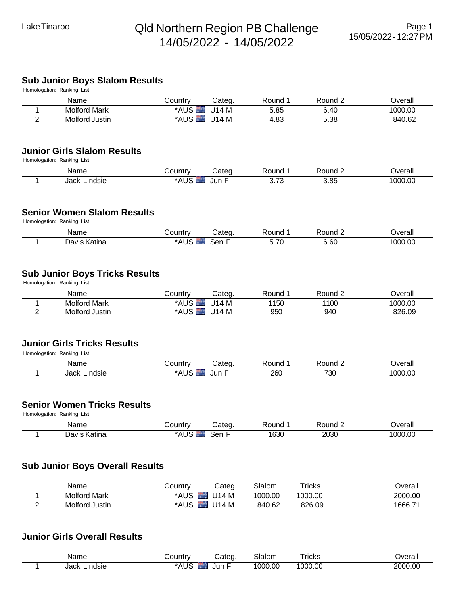## Lake Tinaroo **Qld Northern Region PB Challenge** 14/05/2022 - 14/05/2022

#### **Sub Junior Boys Slalom Results**

| Country<br>Round 1<br>Round 2<br>Name<br>Categ.<br>*AUS U14 M<br>5.85<br><b>Molford Mark</b><br>6.40<br>1<br>*AUS U14 M<br>$\overline{2}$<br>4.83<br>5.38<br>Molford Justin<br><b>Junior Girls Slalom Results</b><br>Homologation: Ranking List<br>Name<br>Country<br>Categ.<br>Round 1<br>Round 2<br>*AUS <sup>E</sup><br>3.85<br><b>Jack Lindsie</b><br>Jun F<br>3.73<br>1<br><b>Senior Women Slalom Results</b><br>Homologation: Ranking List<br>Round 2<br>Name<br>Country<br>Round 1<br>Overall<br>Categ.<br>*AUS <sup>T</sup><br>Sen F<br>Davis Katina<br>5.70<br>1000.00<br>6.60<br>1<br><b>Sub Junior Boys Tricks Results</b><br>Homologation: Ranking List<br>Name<br>Categ.<br>Round 1<br>Round 2<br>Country<br>*AUS U14 M<br>1150<br>1100<br>1<br><b>Molford Mark</b><br>*AUS U14 M<br>2<br>Molford Justin<br>950<br>940<br><b>Junior Girls Tricks Results</b><br>Homologation: Ranking List<br>Name<br>Categ.<br>Round 1<br>Round 2<br>Overall<br>Country<br><b>*AUS</b><br>730<br>Jack Lindsie<br>Jun F<br>260<br>1000.00<br>1<br><b>Senior Women Tricks Results</b><br>Homologation: Ranking List<br>Round 2<br>Name<br>Country<br>Categ.<br>Round 1<br>*AUS Sen F<br>Davis Katina<br>1630<br>2030<br>1<br><b>Sub Junior Boys Overall Results</b><br>Name<br>Country<br>Slalom<br><b>Tricks</b><br>Categ.<br>*AUS U14 M<br><b>Molford Mark</b><br>1000.00<br>1000.00<br>1<br>2<br>Molford Justin<br>*AUS U14 M<br>840.62<br>826.09 | Homologation: Ranking List |  |  |                   |
|--------------------------------------------------------------------------------------------------------------------------------------------------------------------------------------------------------------------------------------------------------------------------------------------------------------------------------------------------------------------------------------------------------------------------------------------------------------------------------------------------------------------------------------------------------------------------------------------------------------------------------------------------------------------------------------------------------------------------------------------------------------------------------------------------------------------------------------------------------------------------------------------------------------------------------------------------------------------------------------------------------------------------------------------------------------------------------------------------------------------------------------------------------------------------------------------------------------------------------------------------------------------------------------------------------------------------------------------------------------------------------------------------------------------------------------------------|----------------------------|--|--|-------------------|
|                                                                                                                                                                                                                                                                                                                                                                                                                                                                                                                                                                                                                                                                                                                                                                                                                                                                                                                                                                                                                                                                                                                                                                                                                                                                                                                                                                                                                                                  |                            |  |  | Overall           |
|                                                                                                                                                                                                                                                                                                                                                                                                                                                                                                                                                                                                                                                                                                                                                                                                                                                                                                                                                                                                                                                                                                                                                                                                                                                                                                                                                                                                                                                  |                            |  |  | 1000.00           |
|                                                                                                                                                                                                                                                                                                                                                                                                                                                                                                                                                                                                                                                                                                                                                                                                                                                                                                                                                                                                                                                                                                                                                                                                                                                                                                                                                                                                                                                  |                            |  |  | 840.62            |
|                                                                                                                                                                                                                                                                                                                                                                                                                                                                                                                                                                                                                                                                                                                                                                                                                                                                                                                                                                                                                                                                                                                                                                                                                                                                                                                                                                                                                                                  |                            |  |  |                   |
|                                                                                                                                                                                                                                                                                                                                                                                                                                                                                                                                                                                                                                                                                                                                                                                                                                                                                                                                                                                                                                                                                                                                                                                                                                                                                                                                                                                                                                                  |                            |  |  |                   |
|                                                                                                                                                                                                                                                                                                                                                                                                                                                                                                                                                                                                                                                                                                                                                                                                                                                                                                                                                                                                                                                                                                                                                                                                                                                                                                                                                                                                                                                  |                            |  |  | Overall           |
|                                                                                                                                                                                                                                                                                                                                                                                                                                                                                                                                                                                                                                                                                                                                                                                                                                                                                                                                                                                                                                                                                                                                                                                                                                                                                                                                                                                                                                                  |                            |  |  | 1000.00           |
|                                                                                                                                                                                                                                                                                                                                                                                                                                                                                                                                                                                                                                                                                                                                                                                                                                                                                                                                                                                                                                                                                                                                                                                                                                                                                                                                                                                                                                                  |                            |  |  |                   |
|                                                                                                                                                                                                                                                                                                                                                                                                                                                                                                                                                                                                                                                                                                                                                                                                                                                                                                                                                                                                                                                                                                                                                                                                                                                                                                                                                                                                                                                  |                            |  |  |                   |
|                                                                                                                                                                                                                                                                                                                                                                                                                                                                                                                                                                                                                                                                                                                                                                                                                                                                                                                                                                                                                                                                                                                                                                                                                                                                                                                                                                                                                                                  |                            |  |  |                   |
|                                                                                                                                                                                                                                                                                                                                                                                                                                                                                                                                                                                                                                                                                                                                                                                                                                                                                                                                                                                                                                                                                                                                                                                                                                                                                                                                                                                                                                                  |                            |  |  |                   |
|                                                                                                                                                                                                                                                                                                                                                                                                                                                                                                                                                                                                                                                                                                                                                                                                                                                                                                                                                                                                                                                                                                                                                                                                                                                                                                                                                                                                                                                  |                            |  |  |                   |
|                                                                                                                                                                                                                                                                                                                                                                                                                                                                                                                                                                                                                                                                                                                                                                                                                                                                                                                                                                                                                                                                                                                                                                                                                                                                                                                                                                                                                                                  |                            |  |  | Overall           |
|                                                                                                                                                                                                                                                                                                                                                                                                                                                                                                                                                                                                                                                                                                                                                                                                                                                                                                                                                                                                                                                                                                                                                                                                                                                                                                                                                                                                                                                  |                            |  |  | 1000.00<br>826.09 |
|                                                                                                                                                                                                                                                                                                                                                                                                                                                                                                                                                                                                                                                                                                                                                                                                                                                                                                                                                                                                                                                                                                                                                                                                                                                                                                                                                                                                                                                  |                            |  |  |                   |
|                                                                                                                                                                                                                                                                                                                                                                                                                                                                                                                                                                                                                                                                                                                                                                                                                                                                                                                                                                                                                                                                                                                                                                                                                                                                                                                                                                                                                                                  |                            |  |  |                   |
|                                                                                                                                                                                                                                                                                                                                                                                                                                                                                                                                                                                                                                                                                                                                                                                                                                                                                                                                                                                                                                                                                                                                                                                                                                                                                                                                                                                                                                                  |                            |  |  |                   |
|                                                                                                                                                                                                                                                                                                                                                                                                                                                                                                                                                                                                                                                                                                                                                                                                                                                                                                                                                                                                                                                                                                                                                                                                                                                                                                                                                                                                                                                  |                            |  |  |                   |
|                                                                                                                                                                                                                                                                                                                                                                                                                                                                                                                                                                                                                                                                                                                                                                                                                                                                                                                                                                                                                                                                                                                                                                                                                                                                                                                                                                                                                                                  |                            |  |  |                   |
|                                                                                                                                                                                                                                                                                                                                                                                                                                                                                                                                                                                                                                                                                                                                                                                                                                                                                                                                                                                                                                                                                                                                                                                                                                                                                                                                                                                                                                                  |                            |  |  | Overall           |
|                                                                                                                                                                                                                                                                                                                                                                                                                                                                                                                                                                                                                                                                                                                                                                                                                                                                                                                                                                                                                                                                                                                                                                                                                                                                                                                                                                                                                                                  |                            |  |  | 1000.00           |
|                                                                                                                                                                                                                                                                                                                                                                                                                                                                                                                                                                                                                                                                                                                                                                                                                                                                                                                                                                                                                                                                                                                                                                                                                                                                                                                                                                                                                                                  |                            |  |  |                   |
|                                                                                                                                                                                                                                                                                                                                                                                                                                                                                                                                                                                                                                                                                                                                                                                                                                                                                                                                                                                                                                                                                                                                                                                                                                                                                                                                                                                                                                                  |                            |  |  | Overall           |
|                                                                                                                                                                                                                                                                                                                                                                                                                                                                                                                                                                                                                                                                                                                                                                                                                                                                                                                                                                                                                                                                                                                                                                                                                                                                                                                                                                                                                                                  |                            |  |  | 2000.00           |
|                                                                                                                                                                                                                                                                                                                                                                                                                                                                                                                                                                                                                                                                                                                                                                                                                                                                                                                                                                                                                                                                                                                                                                                                                                                                                                                                                                                                                                                  |                            |  |  | 1666.71           |

## **Junior Girls Overall Results**

| Name                       | untr<br>$\sim$                        | ateo | slalom                   | <b>TICKS</b> | <b>Jverall</b> |
|----------------------------|---------------------------------------|------|--------------------------|--------------|----------------|
| Jack<br><b>undsie</b><br>. | $\overline{1}$<br>$\mathbf{r}$<br>AUL | Jur  | $\cap$<br>റററ<br>. V J V | 000.00       | 2000.00        |